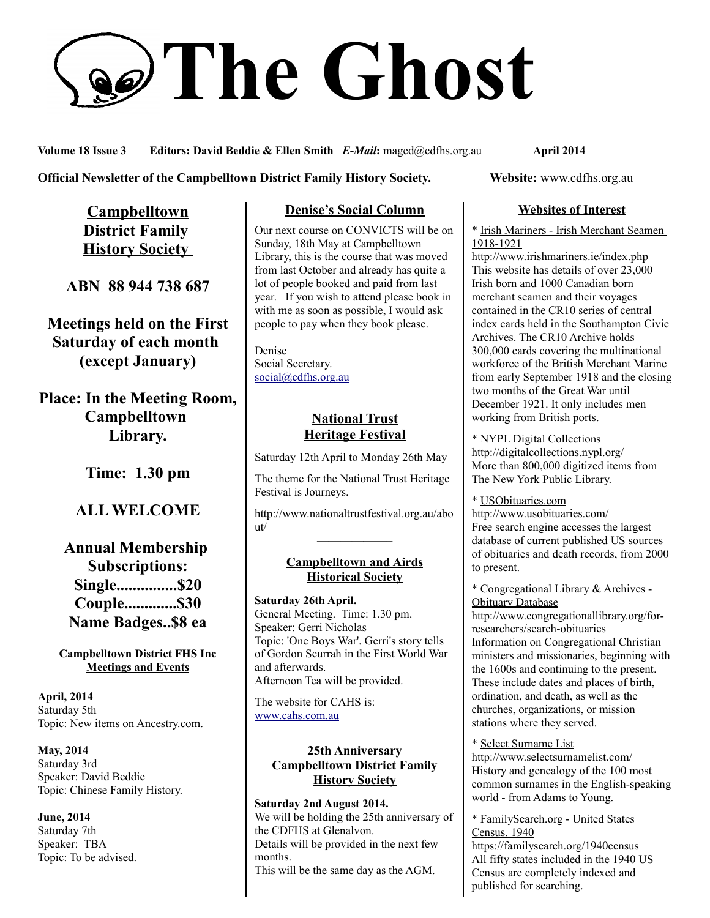# **The Ghost**

**Volume 18 Issue 3 Editors: David Beddie & Ellen Smith** *E-Mail***:** maged@cdfhs.org.au **April 2014**

#### **Official Newsletter of the Campbelltown District Family History Society. Website: www.cdfhs.org.au**

**Campbelltown District Family History Society** 

**ABN 88 944 738 687**

**Meetings held on the First Saturday of each month (except January)**

**Place: In the Meeting Room, Campbelltown Library.**

**Time: 1.30 pm**

# **ALL WELCOME**

**Annual Membership Subscriptions: Single...............\$20 Couple.............\$30 Name Badges..\$8 ea**

**Campbelltown District FHS Inc Meetings and Events**

**April, 2014** Saturday 5th Topic: New items on Ancestry.com.

**May, 2014** Saturday 3rd Speaker: David Beddie Topic: Chinese Family History.

**June, 2014** Saturday 7th Speaker: TBA Topic: To be advised.

# **Denise's Social Column**

Our next course on CONVICTS will be on Sunday, 18th May at Campbelltown Library, this is the course that was moved from last October and already has quite a lot of people booked and paid from last year. If you wish to attend please book in with me as soon as possible, I would ask people to pay when they book please.

Denise Social Secretary. [social@cdfhs.org.au](mailto:social@cdfhs.org.au)

## **National Trust Heritage Festival**

——————–

Saturday 12th April to Monday 26th May

The theme for the National Trust Heritage Festival is Journeys.

http://www.nationaltrustfestival.org.au/abo ut/ ——————–

#### **Campbelltown and Airds Historical Society**

**Saturday 26th April.** General Meeting. Time: 1.30 pm. Speaker: Gerri Nicholas Topic: 'One Boys War'. Gerri's story tells of Gordon Scurrah in the First World War and afterwards. Afternoon Tea will be provided.

The website for CAHS is: [www.cahs.com.au](http://www.cahs.com.au/)

#### **25th Anniversary Campbelltown District Family History Society**

——————–

**Saturday 2nd August 2014.** We will be holding the 25th anniversary of the CDFHS at Glenalvon. Details will be provided in the next few months. This will be the same day as the AGM.

#### **Websites of Interest**

\* Irish Mariners - Irish Merchant Seamen 1918-1921

http://www.irishmariners.ie/index.php This website has details of over 23,000 Irish born and 1000 Canadian born merchant seamen and their voyages contained in the CR10 series of central index cards held in the Southampton Civic Archives. The CR10 Archive holds 300,000 cards covering the multinational workforce of the British Merchant Marine from early September 1918 and the closing two months of the Great War until December 1921. It only includes men working from British ports.

\* NYPL Digital Collections http://digitalcollections.nypl.org/ More than 800,000 digitized items from The New York Public Library.

\* USObituaries.com http://www.usobituaries.com/ Free search engine accesses the largest database of current published US sources of obituaries and death records, from 2000 to present.

\* Congregational Library & Archives - Obituary Database

http://www.congregationallibrary.org/forresearchers/search-obituaries Information on Congregational Christian ministers and missionaries, beginning with the 1600s and continuing to the present. These include dates and places of birth, ordination, and death, as well as the churches, organizations, or mission stations where they served.

#### \* Select Surname List

http://www.selectsurnamelist.com/ History and genealogy of the 100 most common surnames in the English-speaking world - from Adams to Young.

\* FamilySearch.org - United States Census, 1940 https://familysearch.org/1940census

All fifty states included in the 1940 US Census are completely indexed and published for searching.